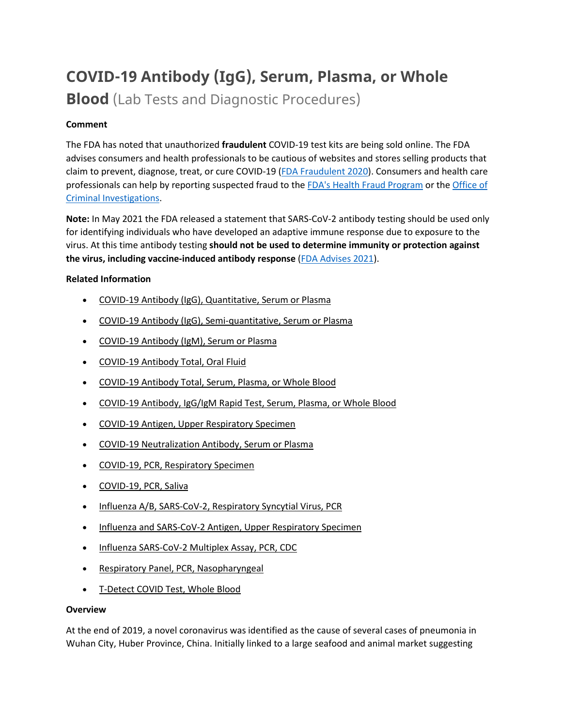# **COVID-19 Antibody (IgG), Serum, Plasma, or Whole**

**Blood** (Lab Tests and Diagnostic Procedures)

# **Comment**

The FDA has noted that unauthorized **fraudulent** COVID-19 test kits are being sold online. The FDA advises consumers and health professionals to be cautious of websites and stores selling products that claim to prevent, diagnose, treat, or cure COVID-19 [\(FDA Fraudulent 2020\)](https://www.fda.gov/consumers/consumer-updates/beware-fraudulent-coronavirus-tests-vaccines-and-treatments?utm_campaign=FDA%20MedWatch%20-%20Fraudulent%20Coronavirus%20Tests%2C%20Vaccines%20and%20Treatments&utm_medium=email&utm_source=Eloqua). Consumers and health care professionals can help by reporting suspected fraud to the [FDA's Health Fraud Program](https://www.fda.gov/safety/report-problem-fda/reporting-unlawful-sales-medical-products-internet) or the [Office of](https://www.accessdata.fda.gov/scripts/email/oc/oci/contact.cfm)  [Criminal Investigations.](https://www.accessdata.fda.gov/scripts/email/oc/oci/contact.cfm)

**Note:** In May 2021 the FDA released a statement that SARS-CoV-2 antibody testing should be used only for identifying individuals who have developed an adaptive immune response due to exposure to the virus. At this time antibody testing **should not be used to determine immunity or protection against the virus, including vaccine-induced antibody response** [\(FDA Advises 2021\)](https://www.fda.gov/news-events/press-announcements/fda-brief-fda-advises-against-use-sars-cov-2-antibody-test-results-evaluate-immunity-or-protection).

## **Related Information**

- [COVID-19 Antibody \(IgG\), Quantitative, Serum or Plasma](https://online.lexi.com/lco/action/doc/retrieve/docid/lthdph/7121093)
- [COVID-19 Antibody \(IgG\), Semi-quantitative, Serum or Plasma](https://online.lexi.com/lco/action/doc/retrieve/docid/lthdph/7077895)
- [COVID-19 Antibody \(IgM\), Serum or Plasma](https://online.lexi.com/lco/action/doc/retrieve/docid/lthdph/7150051)
- [COVID-19 Antibody Total, Oral Fluid](https://online.lexi.com/lco/action/doc/retrieve/docid/lthdph/7111648)
- [COVID-19 Antibody Total, Serum, Plasma, or Whole Blood](https://online.lexi.com/lco/action/doc/retrieve/docid/lthdph/6946612)
- [COVID-19 Antibody, IgG/IgM Rapid Test, Serum, Plasma, or Whole Blood](https://online.lexi.com/lco/action/doc/retrieve/docid/lthdph/6935326)
- [COVID-19 Antigen, Upper Respiratory Specimen](https://online.lexi.com/lco/action/doc/retrieve/docid/lthdph/6947693)
- [COVID-19 Neutralization Antibody, Serum or Plasma](https://online.lexi.com/lco/action/doc/retrieve/docid/lthdph/7011669)
- [COVID-19, PCR, Respiratory Specimen](https://online.lexi.com/lco/action/doc/retrieve/docid/lthdph/6920837)
- [COVID-19, PCR, Saliva](https://online.lexi.com/lco/action/doc/retrieve/docid/lthdph/6958856)
- [Influenza A/B, SARS-CoV-2, Respiratory Syncytial Virus, PCR](https://online.lexi.com/lco/action/doc/retrieve/docid/lthdph/7128794)
- [Influenza and SARS-CoV-2 Antigen, Upper Respiratory Specimen](https://online.lexi.com/lco/action/doc/retrieve/docid/lthdph/7063859)
- [Influenza SARS-CoV-2 Multiplex Assay, PCR, CDC](https://online.lexi.com/lco/action/doc/retrieve/docid/lthdph/6990707)
- [Respiratory Panel, PCR, Nasopharyngeal](https://online.lexi.com/lco/action/doc/retrieve/docid/lthdph/7106510)
- [T-Detect COVID Test, Whole Blood](https://online.lexi.com/lco/action/doc/retrieve/docid/lthdph/7145964)

## **Overview**

At the end of 2019, a novel coronavirus was identified as the cause of several cases of pneumonia in Wuhan City, Huber Province, China. Initially linked to a large seafood and animal market suggesting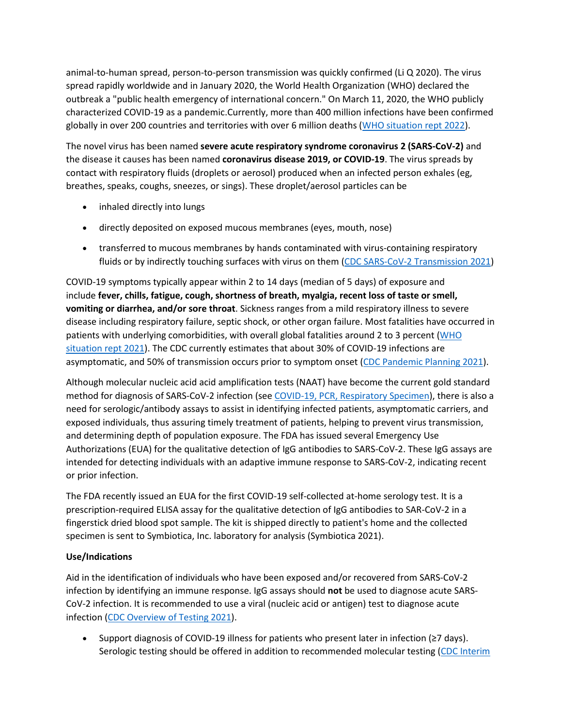animal-to-human spread, person-to-person transmission was quickly confirmed (Li Q 2020). The virus spread rapidly worldwide and in January 2020, the World Health Organization (WHO) declared the outbreak a "public health emergency of international concern." On March 11, 2020, the WHO publicly characterized COVID-19 as a pandemic.Currently, more than 400 million infections have been confirmed globally in over 200 countries and territories with over 6 million deaths [\(WHO situation rept 2022\)](https://www.who.int/emergencies/diseases/novel-coronavirus-2019/situation-reports).

The novel virus has been named **severe acute respiratory syndrome coronavirus 2 (SARS-CoV-2)** and the disease it causes has been named **coronavirus disease 2019, or COVID-19**. The virus spreads by contact with respiratory fluids (droplets or aerosol) produced when an infected person exhales (eg, breathes, speaks, coughs, sneezes, or sings). These droplet/aerosol particles can be

- inhaled directly into lungs
- directly deposited on exposed mucous membranes (eyes, mouth, nose)
- transferred to mucous membranes by hands contaminated with virus-containing respiratory fluids or by indirectly touching surfaces with virus on them [\(CDC SARS-CoV-2 Transmission 2021\)](https://www.cdc.gov/coronavirus/2019-ncov/science/science-briefs/sars-cov-2-transmission.html)

COVID-19 symptoms typically appear within 2 to 14 days (median of 5 days) of exposure and include **fever, chills, fatigue, cough, shortness of breath, myalgia, recent loss of taste or smell, vomiting or diarrhea, and/or sore throat**. Sickness ranges from a mild respiratory illness to severe disease including respiratory failure, septic shock, or other organ failure. Most fatalities have occurred in patients with underlying comorbidities, with overall global fatalities around 2 to 3 percent [\(WHO](https://www.who.int/emergencies/diseases/novel-coronavirus-2019/situation-reports)  [situation rept 2021\)](https://www.who.int/emergencies/diseases/novel-coronavirus-2019/situation-reports). The CDC currently estimates that about 30% of COVID-19 infections are asymptomatic, and 50% of transmission occurs prior to symptom onset [\(CDC Pandemic Planning 2021\)](https://www.cdc.gov/coronavirus/2019-ncov/hcp/planning-scenarios.html).

Although molecular nucleic acid acid amplification tests (NAAT) have become the current gold standard method for diagnosis of SARS-CoV-2 infection (see [COVID-19, PCR, Respiratory Specimen\)](https://online.lexi.com/lco/action/search/globalid/869331), there is also a need for serologic/antibody assays to assist in identifying infected patients, asymptomatic carriers, and exposed individuals, thus assuring timely treatment of patients, helping to prevent virus transmission, and determining depth of population exposure. The FDA has issued several Emergency Use Authorizations (EUA) for the qualitative detection of IgG antibodies to SARS-CoV-2. These IgG assays are intended for detecting individuals with an adaptive immune response to SARS-CoV-2, indicating recent or prior infection.

The FDA recently issued an EUA for the first COVID-19 self-collected at-home serology test. It is a prescription-required ELISA assay for the qualitative detection of IgG antibodies to SAR-CoV-2 in a fingerstick dried blood spot sample. The kit is shipped directly to patient's home and the collected specimen is sent to Symbiotica, Inc. laboratory for analysis (Symbiotica 2021).

# **Use/Indications**

Aid in the identification of individuals who have been exposed and/or recovered from SARS-CoV-2 infection by identifying an immune response. IgG assays should **not** be used to diagnose acute SARS-CoV-2 infection. It is recommended to use a viral (nucleic acid or antigen) test to diagnose acute infection [\(CDC Overview of Testing 2021\)](https://www.cdc.gov/coronavirus/2019-ncov/hcp/testing-overview.html).

• Support diagnosis of COVID-19 illness for patients who present later in infection (≥7 days). Serologic testing should be offered in addition to recommended molecular testing (CDC Interim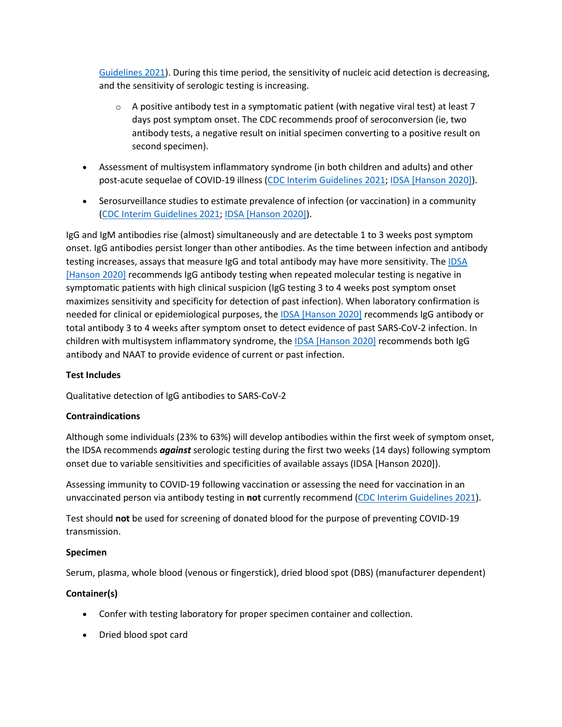[Guidelines 2021\)](https://www.cdc.gov/coronavirus/2019-ncov/lab/resources/antibody-tests-guidelines.html). During this time period, the sensitivity of nucleic acid detection is decreasing, and the sensitivity of serologic testing is increasing.

- $\circ$  A positive antibody test in a symptomatic patient (with negative viral test) at least 7 days post symptom onset. The CDC recommends proof of seroconversion (ie, two antibody tests, a negative result on initial specimen converting to a positive result on second specimen).
- Assessment of multisystem inflammatory syndrome (in both children and adults) and other post-acute sequelae of COVID-19 illness [\(CDC Interim Guidelines 2021;](https://www.cdc.gov/coronavirus/2019-ncov/lab/resources/antibody-tests-guidelines.html) [IDSA \[Hanson 2020\]\)](https://www.idsociety.org/practice-guideline/covid-19-guideline-serology/).
- Serosurveillance studies to estimate prevalence of infection (or vaccination) in a community [\(CDC Interim Guidelines 2021;](https://www.cdc.gov/coronavirus/2019-ncov/lab/resources/antibody-tests-guidelines.html) [IDSA \[Hanson 2020\]\)](https://www.idsociety.org/practice-guideline/covid-19-guideline-serology/).

IgG and IgM antibodies rise (almost) simultaneously and are detectable 1 to 3 weeks post symptom onset. IgG antibodies persist longer than other antibodies. As the time between infection and antibody testing increases, assays that measure IgG and total antibody may have more sensitivity. The [IDSA](https://www.idsociety.org/practice-guideline/covid-19-guideline-serology/)  [\[Hanson 2020\]](https://www.idsociety.org/practice-guideline/covid-19-guideline-serology/) recommends IgG antibody testing when repeated molecular testing is negative in symptomatic patients with high clinical suspicion (IgG testing 3 to 4 weeks post symptom onset maximizes sensitivity and specificity for detection of past infection). When laboratory confirmation is needed for clinical or epidemiological purposes, the [IDSA \[Hanson 2020\]](https://www.idsociety.org/practice-guideline/covid-19-guideline-serology/) recommends IgG antibody or total antibody 3 to 4 weeks after symptom onset to detect evidence of past SARS-CoV-2 infection. In children with multisystem inflammatory syndrome, the [IDSA \[Hanson 2020\]](https://www.idsociety.org/practice-guideline/covid-19-guideline-serology/) recommends both IgG antibody and NAAT to provide evidence of current or past infection.

## **Test Includes**

Qualitative detection of IgG antibodies to SARS-CoV-2

## **Contraindications**

Although some individuals (23% to 63%) will develop antibodies within the first week of symptom onset, the IDSA recommends *against* serologic testing during the first two weeks (14 days) following symptom onset due to variable sensitivities and specificities of available assays (IDSA [Hanson 2020]).

Assessing immunity to COVID-19 following vaccination or assessing the need for vaccination in an unvaccinated person via antibody testing in **not** currently recommend [\(CDC Interim Guidelines 2021\)](https://www.cdc.gov/coronavirus/2019-ncov/lab/resources/antibody-tests-guidelines.html).

Test should **not** be used for screening of donated blood for the purpose of preventing COVID-19 transmission.

## **Specimen**

Serum, plasma, whole blood (venous or fingerstick), dried blood spot (DBS) (manufacturer dependent)

# **Container(s)**

- Confer with testing laboratory for proper specimen container and collection.
- Dried blood spot card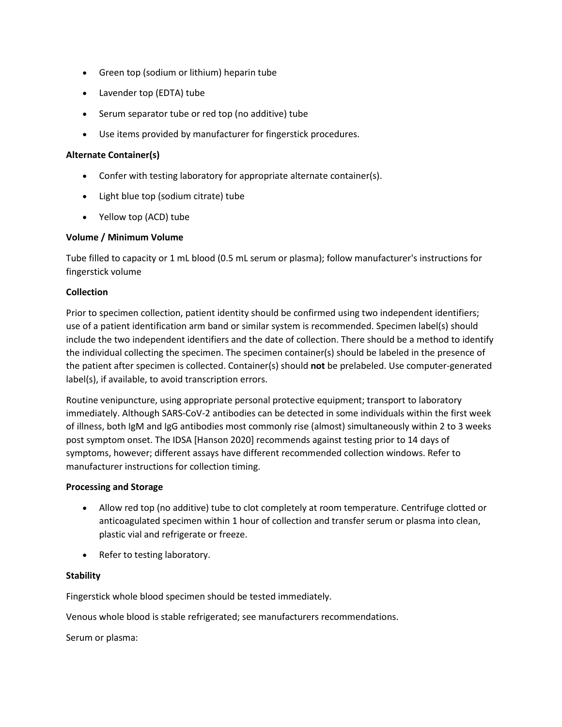- Green top (sodium or lithium) heparin tube
- Lavender top (EDTA) tube
- Serum separator tube or red top (no additive) tube
- Use items provided by manufacturer for fingerstick procedures.

#### **Alternate Container(s)**

- Confer with testing laboratory for appropriate alternate container(s).
- Light blue top (sodium citrate) tube
- Yellow top (ACD) tube

## **Volume / Minimum Volume**

Tube filled to capacity or 1 mL blood (0.5 mL serum or plasma); follow manufacturer's instructions for fingerstick volume

#### **Collection**

Prior to specimen collection, patient identity should be confirmed using two independent identifiers; use of a patient identification arm band or similar system is recommended. Specimen label(s) should include the two independent identifiers and the date of collection. There should be a method to identify the individual collecting the specimen. The specimen container(s) should be labeled in the presence of the patient after specimen is collected. Container(s) should **not** be prelabeled. Use computer-generated label(s), if available, to avoid transcription errors.

Routine venipuncture, using appropriate personal protective equipment; transport to laboratory immediately. Although SARS-CoV-2 antibodies can be detected in some individuals within the first week of illness, both IgM and IgG antibodies most commonly rise (almost) simultaneously within 2 to 3 weeks post symptom onset. The IDSA [Hanson 2020] recommends against testing prior to 14 days of symptoms, however; different assays have different recommended collection windows. Refer to manufacturer instructions for collection timing.

#### **Processing and Storage**

- Allow red top (no additive) tube to clot completely at room temperature. Centrifuge clotted or anticoagulated specimen within 1 hour of collection and transfer serum or plasma into clean, plastic vial and refrigerate or freeze.
- Refer to testing laboratory.

## **Stability**

Fingerstick whole blood specimen should be tested immediately.

Venous whole blood is stable refrigerated; see manufacturers recommendations.

Serum or plasma: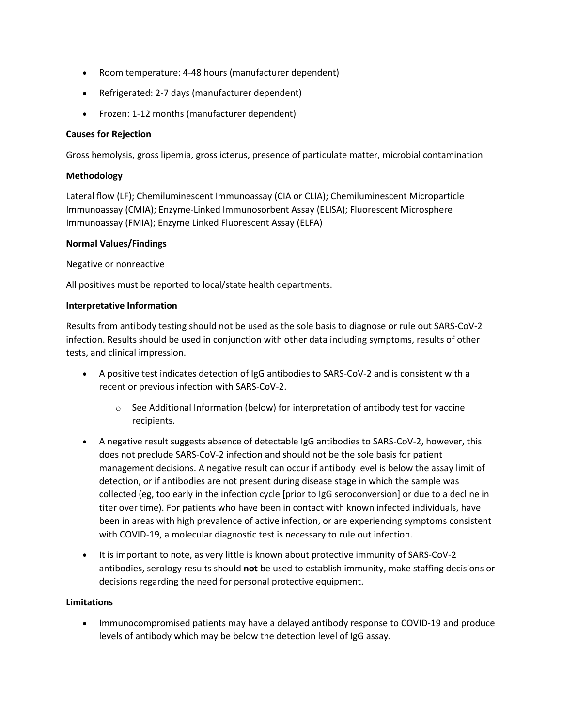- Room temperature: 4-48 hours (manufacturer dependent)
- Refrigerated: 2-7 days (manufacturer dependent)
- Frozen: 1-12 months (manufacturer dependent)

## **Causes for Rejection**

Gross hemolysis, gross lipemia, gross icterus, presence of particulate matter, microbial contamination

## **Methodology**

Lateral flow (LF); Chemiluminescent Immunoassay (CIA or CLIA); Chemiluminescent Microparticle Immunoassay (CMIA); Enzyme-Linked Immunosorbent Assay (ELISA); Fluorescent Microsphere Immunoassay (FMIA); Enzyme Linked Fluorescent Assay (ELFA)

## **Normal Values/Findings**

Negative or nonreactive

All positives must be reported to local/state health departments.

## **Interpretative Information**

Results from antibody testing should not be used as the sole basis to diagnose or rule out SARS-CoV-2 infection. Results should be used in conjunction with other data including symptoms, results of other tests, and clinical impression.

- A positive test indicates detection of IgG antibodies to SARS-CoV-2 and is consistent with a recent or previous infection with SARS-CoV-2.
	- $\circ$  See Additional Information (below) for interpretation of antibody test for vaccine recipients.
- A negative result suggests absence of detectable IgG antibodies to SARS-CoV-2, however, this does not preclude SARS-CoV-2 infection and should not be the sole basis for patient management decisions. A negative result can occur if antibody level is below the assay limit of detection, or if antibodies are not present during disease stage in which the sample was collected (eg, too early in the infection cycle [prior to IgG seroconversion] or due to a decline in titer over time). For patients who have been in contact with known infected individuals, have been in areas with high prevalence of active infection, or are experiencing symptoms consistent with COVID-19, a molecular diagnostic test is necessary to rule out infection.
- It is important to note, as very little is known about protective immunity of SARS-CoV-2 antibodies, serology results should **not** be used to establish immunity, make staffing decisions or decisions regarding the need for personal protective equipment.

## **Limitations**

• Immunocompromised patients may have a delayed antibody response to COVID-19 and produce levels of antibody which may be below the detection level of IgG assay.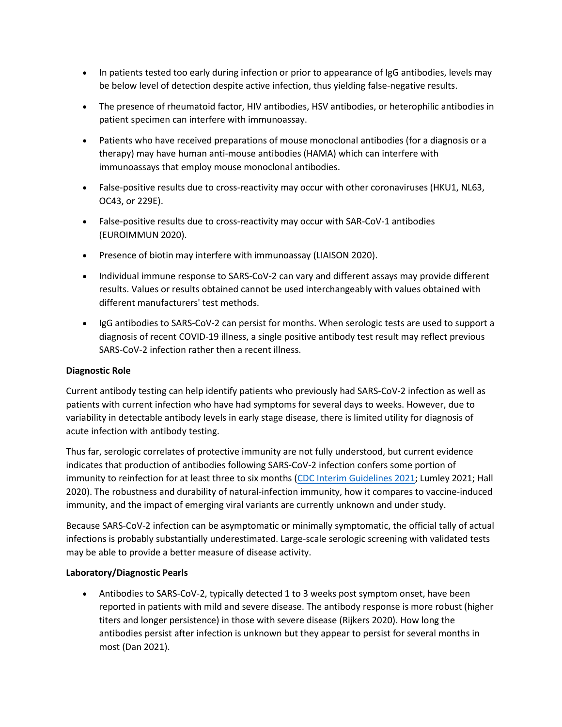- In patients tested too early during infection or prior to appearance of IgG antibodies, levels may be below level of detection despite active infection, thus yielding false-negative results.
- The presence of rheumatoid factor, HIV antibodies, HSV antibodies, or heterophilic antibodies in patient specimen can interfere with immunoassay.
- Patients who have received preparations of mouse monoclonal antibodies (for a diagnosis or a therapy) may have human anti-mouse antibodies (HAMA) which can interfere with immunoassays that employ mouse monoclonal antibodies.
- False-positive results due to cross-reactivity may occur with other coronaviruses (HKU1, NL63, OC43, or 229E).
- False-positive results due to cross-reactivity may occur with SAR-CoV-1 antibodies (EUROIMMUN 2020).
- Presence of biotin may interfere with immunoassay (LIAISON 2020).
- Individual immune response to SARS-CoV-2 can vary and different assays may provide different results. Values or results obtained cannot be used interchangeably with values obtained with different manufacturers' test methods.
- IgG antibodies to SARS-CoV-2 can persist for months. When serologic tests are used to support a diagnosis of recent COVID-19 illness, a single positive antibody test result may reflect previous SARS-CoV-2 infection rather then a recent illness.

# **Diagnostic Role**

Current antibody testing can help identify patients who previously had SARS-CoV-2 infection as well as patients with current infection who have had symptoms for several days to weeks. However, due to variability in detectable antibody levels in early stage disease, there is limited utility for diagnosis of acute infection with antibody testing.

Thus far, serologic correlates of protective immunity are not fully understood, but current evidence indicates that production of antibodies following SARS-CoV-2 infection confers some portion of immunity to reinfection for at least three to six months [\(CDC Interim Guidelines 2021;](https://www.cdc.gov/coronavirus/2019-ncov/lab/resources/antibody-tests-guidelines.html) Lumley 2021; Hall 2020). The robustness and durability of natural-infection immunity, how it compares to vaccine-induced immunity, and the impact of emerging viral variants are currently unknown and under study.

Because SARS-CoV-2 infection can be asymptomatic or minimally symptomatic, the official tally of actual infections is probably substantially underestimated. Large-scale serologic screening with validated tests may be able to provide a better measure of disease activity.

## **Laboratory/Diagnostic Pearls**

• Antibodies to SARS-CoV-2, typically detected 1 to 3 weeks post symptom onset, have been reported in patients with mild and severe disease. The antibody response is more robust (higher titers and longer persistence) in those with severe disease (Rijkers 2020). How long the antibodies persist after infection is unknown but they appear to persist for several months in most (Dan 2021).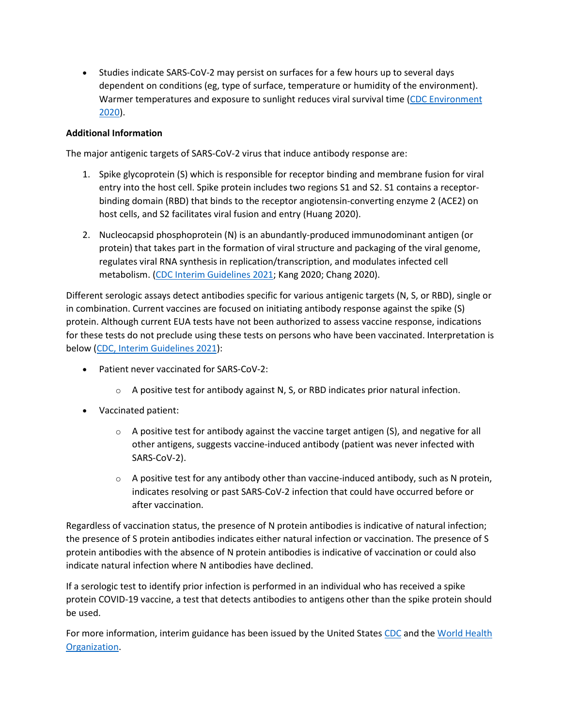• Studies indicate SARS-CoV-2 may persist on surfaces for a few hours up to several days dependent on conditions (eg, type of surface, temperature or humidity of the environment). Warmer temperatures and exposure to sunlight reduces viral survival time [\(CDC Environment](https://www.cdc.gov/coronavirus/2019-ncov/community/pdf/reopening_america_guidance.pdf)  [2020\)](https://www.cdc.gov/coronavirus/2019-ncov/community/pdf/reopening_america_guidance.pdf).

# **Additional Information**

The major antigenic targets of SARS-CoV-2 virus that induce antibody response are:

- 1. Spike glycoprotein (S) which is responsible for receptor binding and membrane fusion for viral entry into the host cell. Spike protein includes two regions S1 and S2. S1 contains a receptorbinding domain (RBD) that binds to the receptor angiotensin-converting enzyme 2 (ACE2) on host cells, and S2 facilitates viral fusion and entry (Huang 2020).
- 2. Nucleocapsid phosphoprotein (N) is an abundantly-produced immunodominant antigen (or protein) that takes part in the formation of viral structure and packaging of the viral genome, regulates viral RNA synthesis in replication/transcription, and modulates infected cell metabolism. [\(CDC Interim Guidelines 2021;](https://www.cdc.gov/coronavirus/2019-ncov/lab/resources/antibody-tests-guidelines.html) Kang 2020; Chang 2020).

Different serologic assays detect antibodies specific for various antigenic targets (N, S, or RBD), single or in combination. Current vaccines are focused on initiating antibody response against the spike (S) protein. Although current EUA tests have not been authorized to assess vaccine response, indications for these tests do not preclude using these tests on persons who have been vaccinated. Interpretation is below [\(CDC, Interim Guidelines 2021\)](https://www.cdc.gov/coronavirus/2019-ncov/lab/resources/antibody-tests-guidelines.html):

- Patient never vaccinated for SARS-CoV-2:
	- $\circ$  A positive test for antibody against N, S, or RBD indicates prior natural infection.
- Vaccinated patient:
	- $\circ$  A positive test for antibody against the vaccine target antigen (S), and negative for all other antigens, suggests vaccine-induced antibody (patient was never infected with SARS-CoV-2).
	- $\circ$  A positive test for any antibody other than vaccine-induced antibody, such as N protein, indicates resolving or past SARS-CoV-2 infection that could have occurred before or after vaccination.

Regardless of vaccination status, the presence of N protein antibodies is indicative of natural infection; the presence of S protein antibodies indicates either natural infection or vaccination. The presence of S protein antibodies with the absence of N protein antibodies is indicative of vaccination or could also indicate natural infection where N antibodies have declined.

If a serologic test to identify prior infection is performed in an individual who has received a spike protein COVID-19 vaccine, a test that detects antibodies to antigens other than the spike protein should be used.

For more information, interim guidance has been issued by the United States [CDC](https://www.cdc.gov/coronavirus/2019-ncov/index.html) and the World Health [Organization.](https://www.who.int/emergencies/diseases/novel-coronavirus-2019)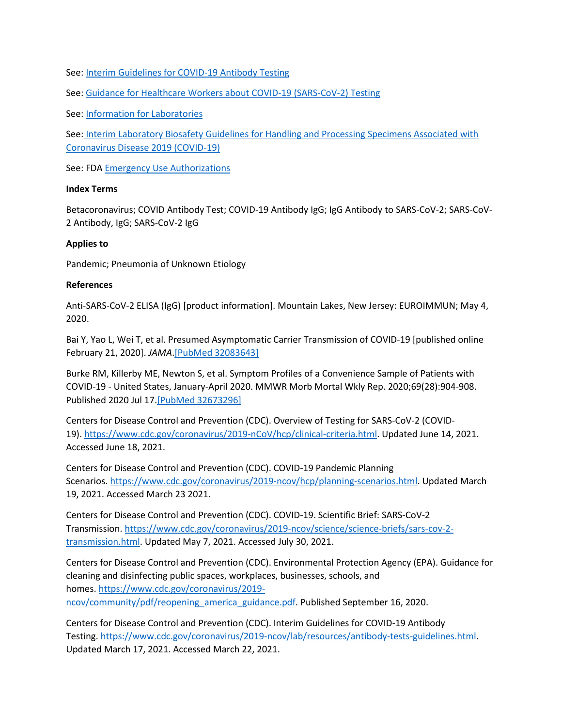See: [Interim Guidelines for COVID-19 Antibody Testing](https://www.cdc.gov/coronavirus/2019-ncov/lab/resources/antibody-tests-guidelines.html)

See: [Guidance for Healthcare Workers about COVID-19 \(SARS-CoV-2\) Testing](https://www.cdc.gov/coronavirus/2019-ncov/hcp/testing.html)

See: [Information for Laboratories](https://www.cdc.gov/coronavirus/2019-ncov/lab/index.html?CDC_AA_refVal=https%3A%2F%2Fwww.cdc.gov%2Fcoronavirus%2F2019-ncov%2Fguidance-laboratories.html)

See: [Interim Laboratory Biosafety Guidelines for Handling and Processing Specimens Associated with](https://www.cdc.gov/coronavirus/2019-ncov/lab/lab-biosafety-guidelines.html?CDC_AA_refVal=https%3A%2F%2Fwww.cdc.gov%2Fcoronavirus%2F2019-ncov%2Flab-biosafety-guidelines.html)  [Coronavirus Disease 2019 \(COVID-19\)](https://www.cdc.gov/coronavirus/2019-ncov/lab/lab-biosafety-guidelines.html?CDC_AA_refVal=https%3A%2F%2Fwww.cdc.gov%2Fcoronavirus%2F2019-ncov%2Flab-biosafety-guidelines.html)

See: FDA **[Emergency Use Authorizations](https://www.fda.gov/emergency-preparedness-and-response/mcm-legal-regulatory-and-policy-framework/emergency-use-authorization)** 

#### **Index Terms**

Betacoronavirus; COVID Antibody Test; COVID-19 Antibody IgG; IgG Antibody to SARS-CoV-2; SARS-CoV-2 Antibody, IgG; SARS-CoV-2 IgG

#### **Applies to**

Pandemic; Pneumonia of Unknown Etiology

#### **References**

Anti-SARS-CoV-2 ELISA (IgG) [product information]. Mountain Lakes, New Jersey: EUROIMMUN; May 4, 2020.

Bai Y, Yao L, Wei T, et al. Presumed Asymptomatic Carrier Transmission of COVID-19 [published online February 21, 2020]. *JAMA*[.\[PubMed 32083643\]](https://www.ncbi.nlm.nih.gov/entrez/query.fcgi?cmd=Retrieve&db=pubmed&dopt=Abstract&list_uids=32083643)

Burke RM, Killerby ME, Newton S, et al. Symptom Profiles of a Convenience Sample of Patients with COVID-19 - United States, January-April 2020. MMWR Morb Mortal Wkly Rep. 2020;69(28):904-908. Published 2020 Jul 17[.\[PubMed 32673296\]](https://www.ncbi.nlm.nih.gov/entrez/query.fcgi?cmd=Retrieve&db=pubmed&dopt=Abstract&list_uids=32673296)

Centers for Disease Control and Prevention (CDC). Overview of Testing for SARS-CoV-2 (COVID-19). [https://www.cdc.gov/coronavirus/2019-nCoV/hcp/clinical-criteria.html.](https://www.cdc.gov/coronavirus/2019-ncov/hcp/testing-overview.html) Updated June 14, 2021. Accessed June 18, 2021.

Centers for Disease Control and Prevention (CDC). COVID-19 Pandemic Planning Scenarios. [https://www.cdc.gov/coronavirus/2019-ncov/hcp/planning-scenarios.html.](https://www.cdc.gov/coronavirus/2019-ncov/hcp/planning-scenarios.html) Updated March 19, 2021. Accessed March 23 2021.

Centers for Disease Control and Prevention (CDC). COVID-19. Scientific Brief: SARS-CoV-2 Transmission. [https://www.cdc.gov/coronavirus/2019-ncov/science/science-briefs/sars-cov-2](https://www.cdc.gov/coronavirus/2019-ncov/science/science-briefs/sars-cov-2-transmission.html) [transmission.html](https://www.cdc.gov/coronavirus/2019-ncov/science/science-briefs/sars-cov-2-transmission.html). Updated May 7, 2021. Accessed July 30, 2021.

Centers for Disease Control and Prevention (CDC). Environmental Protection Agency (EPA). Guidance for cleaning and disinfecting public spaces, workplaces, businesses, schools, and homes. [https://www.cdc.gov/coronavirus/2019](https://www.cdc.gov/coronavirus/2019-ncov/community/pdf/reopening_america_guidance.pdf) [ncov/community/pdf/reopening\\_america\\_guidance.pdf.](https://www.cdc.gov/coronavirus/2019-ncov/community/pdf/reopening_america_guidance.pdf) Published September 16, 2020.

Centers for Disease Control and Prevention (CDC). Interim Guidelines for COVID-19 Antibody Testing. [https://www.cdc.gov/coronavirus/2019-ncov/lab/resources/antibody-tests-guidelines.html.](https://www.cdc.gov/coronavirus/2019-ncov/lab/resources/antibody-tests-guidelines.html) Updated March 17, 2021. Accessed March 22, 2021.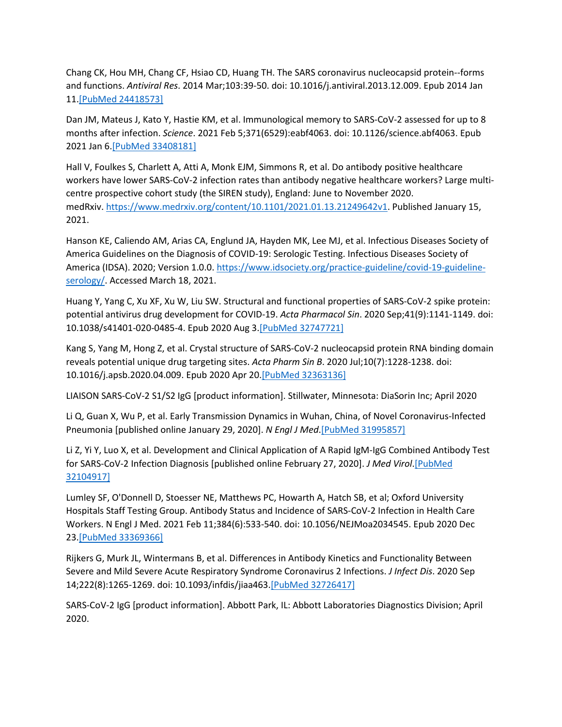Chang CK, Hou MH, Chang CF, Hsiao CD, Huang TH. The SARS coronavirus nucleocapsid protein--forms and functions. *Antiviral Res*. 2014 Mar;103:39-50. doi: 10.1016/j.antiviral.2013.12.009. Epub 2014 Jan 11.[\[PubMed 24418573\]](https://www.ncbi.nlm.nih.gov/entrez/query.fcgi?cmd=Retrieve&db=pubmed&dopt=Abstract&list_uids=24418573)

Dan JM, Mateus J, Kato Y, Hastie KM, et al. Immunological memory to SARS-CoV-2 assessed for up to 8 months after infection. *Science*. 2021 Feb 5;371(6529):eabf4063. doi: 10.1126/science.abf4063. Epub 2021 Jan 6[.\[PubMed 33408181\]](https://www.ncbi.nlm.nih.gov/entrez/query.fcgi?cmd=Retrieve&db=pubmed&dopt=Abstract&list_uids=33408181)

Hall V, Foulkes S, Charlett A, Atti A, Monk EJM, Simmons R, et al. Do antibody positive healthcare workers have lower SARS-CoV-2 infection rates than antibody negative healthcare workers? Large multicentre prospective cohort study (the SIREN study), England: June to November 2020. medRxiv. [https://www.medrxiv.org/content/10.1101/2021.01.13.21249642v1.](https://www.medrxiv.org/content/10.1101/2021.01.13.21249642v1) Published January 15, 2021.

Hanson KE, Caliendo AM, Arias CA, Englund JA, Hayden MK, Lee MJ, et al. Infectious Diseases Society of America Guidelines on the Diagnosis of COVID-19: Serologic Testing. Infectious Diseases Society of America (IDSA). 2020; Version 1.0.0. [https://www.idsociety.org/practice-guideline/covid-19-guideline](https://www.idsociety.org/practice-guideline/covid-19-guideline-serology/)[serology/.](https://www.idsociety.org/practice-guideline/covid-19-guideline-serology/) Accessed March 18, 2021.

Huang Y, Yang C, Xu XF, Xu W, Liu SW. Structural and functional properties of SARS-CoV-2 spike protein: potential antivirus drug development for COVID-19. *Acta Pharmacol Sin*. 2020 Sep;41(9):1141-1149. doi: 10.1038/s41401-020-0485-4. Epub 2020 Aug 3.[\[PubMed 32747721\]](https://www.ncbi.nlm.nih.gov/entrez/query.fcgi?cmd=Retrieve&db=pubmed&dopt=Abstract&list_uids=32747721)

Kang S, Yang M, Hong Z, et al. Crystal structure of SARS-CoV-2 nucleocapsid protein RNA binding domain reveals potential unique drug targeting sites. *Acta Pharm Sin B*. 2020 Jul;10(7):1228-1238. doi: 10.1016/j.apsb.2020.04.009. Epub 2020 Apr 20[.\[PubMed 32363136\]](https://www.ncbi.nlm.nih.gov/entrez/query.fcgi?cmd=Retrieve&db=pubmed&dopt=Abstract&list_uids=32363136)

LIAISON SARS-CoV-2 S1/S2 IgG [product information]. Stillwater, Minnesota: DiaSorin Inc; April 2020

Li Q, Guan X, Wu P, et al. Early Transmission Dynamics in Wuhan, China, of Novel Coronavirus-Infected Pneumonia [published online January 29, 2020]. *N Engl J Med*.[\[PubMed 31995857\]](https://www.ncbi.nlm.nih.gov/entrez/query.fcgi?cmd=Retrieve&db=pubmed&dopt=Abstract&list_uids=31995857)

Li Z, Yi Y, Luo X, et al. Development and Clinical Application of A Rapid IgM-IgG Combined Antibody Test for SARS-CoV-2 Infection Diagnosis [published online February 27, 2020]. *J Med Virol*[.\[PubMed](https://www.ncbi.nlm.nih.gov/entrez/query.fcgi?cmd=Retrieve&db=pubmed&dopt=Abstract&list_uids=32104917)  [32104917\]](https://www.ncbi.nlm.nih.gov/entrez/query.fcgi?cmd=Retrieve&db=pubmed&dopt=Abstract&list_uids=32104917)

Lumley SF, O'Donnell D, Stoesser NE, Matthews PC, Howarth A, Hatch SB, et al; Oxford University Hospitals Staff Testing Group. Antibody Status and Incidence of SARS-CoV-2 Infection in Health Care Workers. N Engl J Med. 2021 Feb 11;384(6):533-540. doi: 10.1056/NEJMoa2034545. Epub 2020 Dec 23[.\[PubMed 33369366\]](https://www.ncbi.nlm.nih.gov/entrez/query.fcgi?cmd=Retrieve&db=pubmed&dopt=Abstract&list_uids=33369366)

Rijkers G, Murk JL, Wintermans B, et al. Differences in Antibody Kinetics and Functionality Between Severe and Mild Severe Acute Respiratory Syndrome Coronavirus 2 Infections. *J Infect Dis*. 2020 Sep 14;222(8):1265-1269. doi: 10.1093/infdis/jiaa463.[\[PubMed 32726417\]](https://www.ncbi.nlm.nih.gov/entrez/query.fcgi?cmd=Retrieve&db=pubmed&dopt=Abstract&list_uids=32726417)

SARS-CoV-2 IgG [product information]. Abbott Park, IL: Abbott Laboratories Diagnostics Division; April 2020.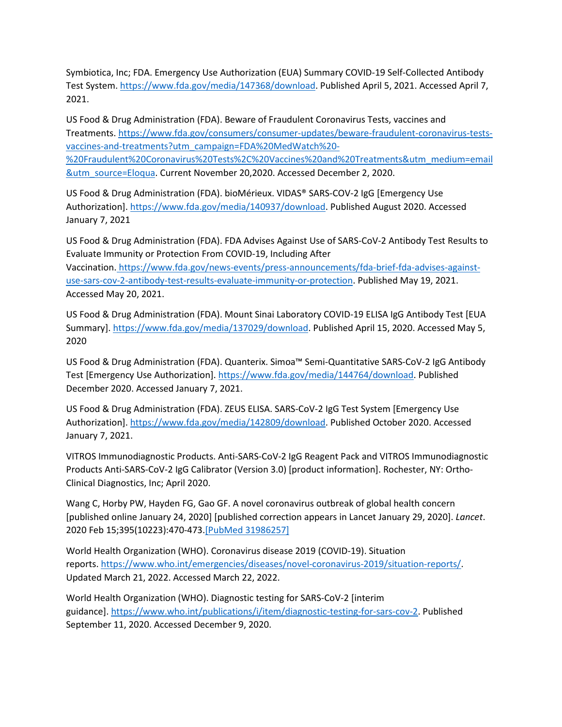Symbiotica, Inc; FDA. Emergency Use Authorization (EUA) Summary COVID-19 Self-Collected Antibody Test System. [https://www.fda.gov/media/147368/download.](https://www.fda.gov/media/147368/download) Published April 5, 2021. Accessed April 7, 2021.

US Food & Drug Administration (FDA). Beware of Fraudulent Coronavirus Tests, vaccines and Treatments. [https://www.fda.gov/consumers/consumer-updates/beware-fraudulent-coronavirus-tests](https://www.fda.gov/consumers/consumer-updates/beware-fraudulent-coronavirus-tests-vaccines-and-treatments?utm_campaign=FDA%20MedWatch%20-%20Fraudulent%20Coronavirus%20Tests%2C%20Vaccines%20and%20Treatments&utm_medium=email&utm_source=Eloqua)[vaccines-and-treatments?utm\\_campaign=FDA%20MedWatch%20-](https://www.fda.gov/consumers/consumer-updates/beware-fraudulent-coronavirus-tests-vaccines-and-treatments?utm_campaign=FDA%20MedWatch%20-%20Fraudulent%20Coronavirus%20Tests%2C%20Vaccines%20and%20Treatments&utm_medium=email&utm_source=Eloqua) [%20Fraudulent%20Coronavirus%20Tests%2C%20Vaccines%20and%20Treatments&utm\\_medium=email](https://www.fda.gov/consumers/consumer-updates/beware-fraudulent-coronavirus-tests-vaccines-and-treatments?utm_campaign=FDA%20MedWatch%20-%20Fraudulent%20Coronavirus%20Tests%2C%20Vaccines%20and%20Treatments&utm_medium=email&utm_source=Eloqua) [&utm\\_source=Eloqua.](https://www.fda.gov/consumers/consumer-updates/beware-fraudulent-coronavirus-tests-vaccines-and-treatments?utm_campaign=FDA%20MedWatch%20-%20Fraudulent%20Coronavirus%20Tests%2C%20Vaccines%20and%20Treatments&utm_medium=email&utm_source=Eloqua) Current November 20,2020. Accessed December 2, 2020.

US Food & Drug Administration (FDA). bioMérieux. VIDAS® SARS-COV-2 IgG [Emergency Use Authorization]. <https://www.fda.gov/media/140937/download>. Published August 2020. Accessed January 7, 2021

US Food & Drug Administration (FDA). FDA Advises Against Use of SARS-CoV-2 Antibody Test Results to Evaluate Immunity or Protection From COVID-19, Including After Vaccination. [https://www.fda.gov/news-events/press-announcements/fda-brief-fda-advises-against-](https://www.fda.gov/news-events/press-announcements/fda-brief-fda-advises-against-use-sars-cov-2-antibody-test-results-evaluate-immunity-or-protection)

[use-sars-cov-2-antibody-test-results-evaluate-immunity-or-protection.](https://www.fda.gov/news-events/press-announcements/fda-brief-fda-advises-against-use-sars-cov-2-antibody-test-results-evaluate-immunity-or-protection) Published May 19, 2021. Accessed May 20, 2021.

US Food & Drug Administration (FDA). Mount Sinai Laboratory COVID-19 ELISA IgG Antibody Test [EUA Summary]. <https://www.fda.gov/media/137029/download>. Published April 15, 2020. Accessed May 5, 2020

US Food & Drug Administration (FDA). Quanterix. Simoa™ Semi-Quantitative SARS-CoV-2 IgG Antibody Test [Emergency Use Authorization]. <https://www.fda.gov/media/144764/download>. Published December 2020. Accessed January 7, 2021.

US Food & Drug Administration (FDA). ZEUS ELISA. SARS-CoV-2 IgG Test System [Emergency Use Authorization]. [https://www.fda.gov/media/142809/download.](https://www.fda.gov/media/142809/download) Published October 2020. Accessed January 7, 2021.

VITROS Immunodiagnostic Products. Anti-SARS-CoV-2 IgG Reagent Pack and VITROS Immunodiagnostic Products Anti-SARS-CoV-2 IgG Calibrator (Version 3.0) [product information]. Rochester, NY: Ortho-Clinical Diagnostics, Inc; April 2020.

Wang C, Horby PW, Hayden FG, Gao GF. A novel coronavirus outbreak of global health concern [published online January 24, 2020] [published correction appears in Lancet January 29, 2020]. *Lancet*. 2020 Feb 15;395(10223):470-473[.\[PubMed 31986257\]](https://www.ncbi.nlm.nih.gov/entrez/query.fcgi?cmd=Retrieve&db=pubmed&dopt=Abstract&list_uids=31986257)

World Health Organization (WHO). Coronavirus disease 2019 (COVID-19). Situation reports. [https://www.who.int/emergencies/diseases/novel-coronavirus-2019/situation-reports/.](https://www.who.int/emergencies/diseases/novel-coronavirus-2019/situation-reports/) Updated March 21, 2022. Accessed March 22, 2022.

World Health Organization (WHO). Diagnostic testing for SARS-CoV-2 [interim guidance]. [https://www.who.int/publications/i/item/diagnostic-testing-for-sars-cov-2.](https://www.who.int/publications/i/item/diagnostic-testing-for-sars-cov-2) Published September 11, 2020. Accessed December 9, 2020.